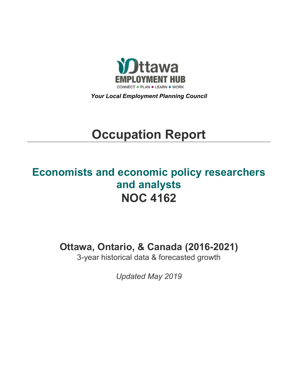

*Your Local Employment Planning Council*

# **Occupation Report**

# **Economists and economic policy researchers and analysts NOC 4162**

**Ottawa, Ontario, & Canada (2016-2021)**

3-year historical data & forecasted growth

*Updated May 2019*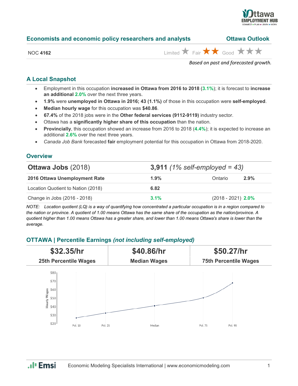

| Economists and economic policy researchers and analysts | <b>Ottawa Outlook</b> |
|---------------------------------------------------------|-----------------------|
|---------------------------------------------------------|-----------------------|

NOC 4162  $\overrightarrow{AB}$  Good  $\overrightarrow{AB}$   $\overrightarrow{AB}$ 

*Based on past and forecasted growth.*

# **A Local Snapshot**

- Employment in this occupation **increased in Ottawa from 2016 to 2018** (**3.1%**); it is forecast to **increase an additional 2.0%** over the next three years.
- **1.9%** were **unemployed in Ottawa in 2016; 43 (1.1%)** of those in this occupation were **self-employed**.
- **Median hourly wage** for this occupation was **\$40.86**.
- **67.4%** of the 2018 jobs were in the **Other federal services (9112-9119)** industry sector.
- Ottawa has a **significantly higher share of this occupation** than the nation.
- **Provincially**, this occupation showed an increase from 2016 to 2018 (**4.4%**); it is expected to increase an additional **2.6%** over the next three years.
- *Canada Job Bank* forecasted **fair** employment potential for this occupation in Ottawa from 2018-2020.

# **Overview**

| <b>Ottawa Jobs (2018)</b>          | 3,911 $(1\% \text{ self-employed} = 43)$ |                      |         |
|------------------------------------|------------------------------------------|----------------------|---------|
| 2016 Ottawa Unemployment Rate      | $1.9\%$                                  | Ontario              | $2.9\%$ |
| Location Quotient to Nation (2018) | 6.82                                     |                      |         |
| Change in Jobs (2016 - 2018)       | $3.1\%$                                  | $(2018 - 2021)$ 2.0% |         |

*NOTE: Location quotient (LQ) is a way of quantifying how concentrated a particular occupation is in a region compared to the nation or province. A quotient of 1.00 means Ottawa has the same share of the occupation as the nation/province. A quotient higher than 1.00 means Ottawa has a greater share, and lower than 1.00 means Ottawa's share is lower than the average.*

## **OTTAWA | Percentile Earnings** *(not including self-employed)*



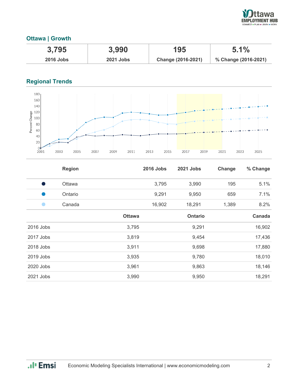

### **Ottawa | Growth**

| 3.795            | 3,990            | 195                | 5.1%                 |
|------------------|------------------|--------------------|----------------------|
| <b>2016 Jobs</b> | <b>2021 Jobs</b> | Change (2016-2021) | % Change (2016-2021) |

# **Regional Trends**



|           | <b>Region</b> |               | <b>2016 Jobs</b> | 2021 Jobs      | Change | % Change |
|-----------|---------------|---------------|------------------|----------------|--------|----------|
| o a f     | Ottawa        |               | 3,795            | 3,990          | 195    | 5.1%     |
| œ         | Ontario       |               | 9,291            | 9,950          | 659    | 7.1%     |
|           | Canada        |               | 16,902           | 18,291         | 1,389  | 8.2%     |
|           |               | <b>Ottawa</b> |                  | <b>Ontario</b> |        | Canada   |
| 2016 Jobs |               | 3,795         |                  | 9,291          |        | 16,902   |
| 2017 Jobs |               | 3,819         |                  | 9,454          |        | 17,436   |
| 2018 Jobs |               | 3,911         |                  | 9,698          |        | 17,880   |
| 2019 Jobs |               | 3,935         |                  | 9,780          |        | 18,010   |
| 2020 Jobs |               | 3,961         |                  | 9,863          |        | 18,146   |
| 2021 Jobs |               | 3,990         |                  | 9,950          |        | 18,291   |

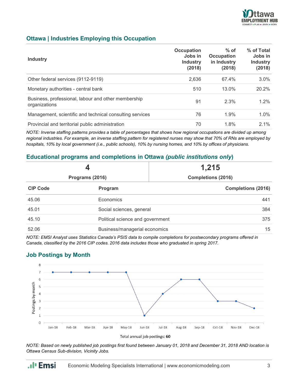

#### **Ottawa | Industries Employing this Occupation**

| <b>Industry</b>                                                      | Occupation<br>Jobs in<br><b>Industry</b><br>(2018) | $%$ of<br><b>Occupation</b><br>in Industry<br>(2018) | % of Total<br>Jobs in<br><b>Industry</b><br>(2018) |
|----------------------------------------------------------------------|----------------------------------------------------|------------------------------------------------------|----------------------------------------------------|
| Other federal services (9112-9119)                                   | 2.636                                              | 67.4%                                                | $3.0\%$                                            |
| Monetary authorities - central bank                                  | 510                                                | 13.0%                                                | 20.2%                                              |
| Business, professional, labour and other membership<br>organizations | 91                                                 | 2.3%                                                 | 1.2%                                               |
| Management, scientific and technical consulting services             | 76                                                 | 1.9%                                                 | $1.0\%$                                            |
| Provincial and territorial public administration                     | 70                                                 | 1.8%                                                 | $2.1\%$                                            |

*NOTE: Inverse staffing patterns provides a table of percentages that shows how regional occupations are divided up among regional industries. For example, an inverse staffing pattern for registered nurses may show that 70% of RNs are employed by hospitals, 10% by local government (i.e., public schools), 10% by nursing homes, and 10% by offices of physicians.*

#### **Educational programs and completions in Ottawa** *(public institutions only***)**

|                 |                                  | 1,215                     |  |
|-----------------|----------------------------------|---------------------------|--|
| Programs (2016) |                                  | <b>Completions (2016)</b> |  |
| <b>CIP Code</b> | Program                          | <b>Completions (2016)</b> |  |
| 45.06           | Economics                        | 441                       |  |
| 45.01           | Social sciences, general         | 384                       |  |
| 45.10           | Political science and government | 375                       |  |
| 52.06           | Business/managerial economics    | 15                        |  |

*NOTE: EMSI Analyst uses Statistics Canada's PSIS data to compile completions for postsecondary programs offered in Canada, classified by the 2016 CIP codes. 2016 data includes those who graduated in spring 2017.*

#### **Job Postings by Month**



*NOTE: Based on newly published job postings first found between January 01, 2018 and December 31, 2018 AND location is Ottawa Census Sub-division, Vicinity Jobs.*